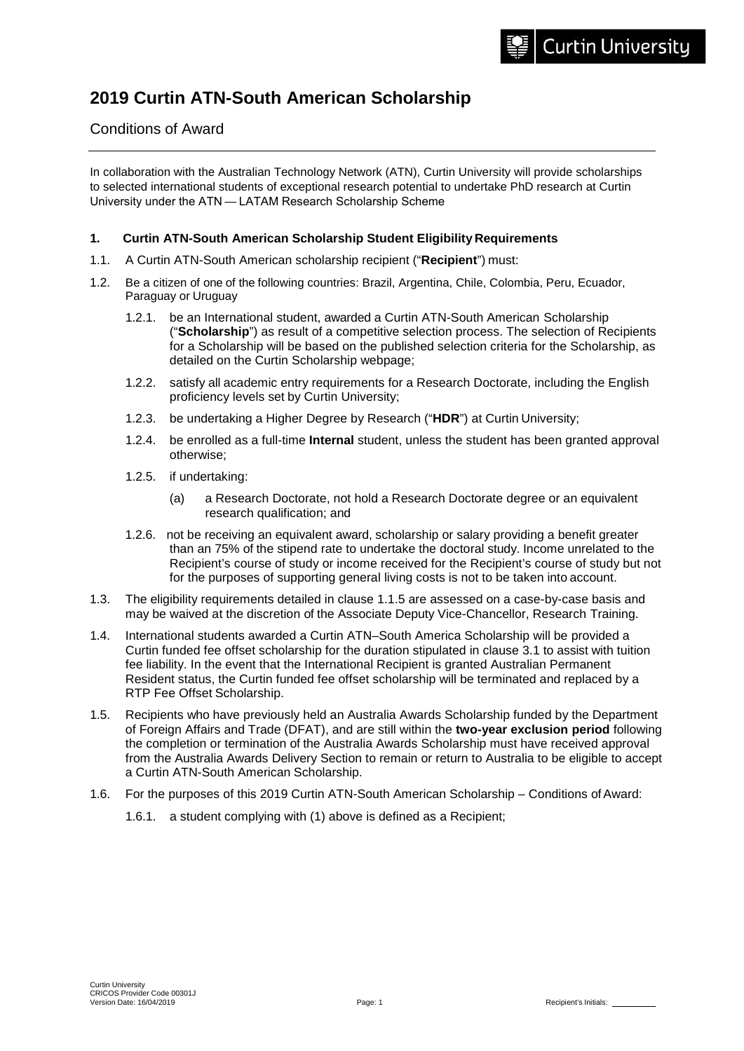# **2019 Curtin ATN-South American Scholarship**

# Conditions of Award

In collaboration with the Australian Technology Network (ATN), Curtin University will provide scholarships to selected international students of exceptional research potential to undertake PhD research at Curtin University under the ATN — LATAM Research Scholarship Scheme

#### **1. Curtin ATN-South American Scholarship Student Eligibility Requirements**

- 1.1. A Curtin ATN-South American scholarship recipient ("**Recipient**") must:
- 1.2. Be a citizen of one of the following countries: Brazil, Argentina, Chile, Colombia, Peru, Ecuador, Paraguay or Uruguay
	- 1.2.1. be an International student, awarded a Curtin ATN-South American Scholarship ("**Scholarship**") as result of a competitive selection process. The selection of Recipients for a Scholarship will be based on the published selection criteria for the Scholarship, as detailed on the Curtin Scholarship webpage;
	- 1.2.2. satisfy all academic entry requirements for a Research Doctorate, including the English proficiency levels set by Curtin University;
	- 1.2.3. be undertaking a Higher Degree by Research ("**HDR**") at Curtin University;
	- 1.2.4. be enrolled as a full-time **Internal** student, unless the student has been granted approval otherwise;
	- 1.2.5. if undertaking:
		- (a) a Research Doctorate, not hold a Research Doctorate degree or an equivalent research qualification; and
	- 1.2.6. not be receiving an equivalent award, scholarship or salary providing a benefit greater than an 75% of the stipend rate to undertake the doctoral study. Income unrelated to the Recipient's course of study or income received for the Recipient's course of study but not for the purposes of supporting general living costs is not to be taken into account.
- 1.3. The eligibility requirements detailed in clause 1.1.5 are assessed on a case-by-case basis and may be waived at the discretion of the Associate Deputy Vice-Chancellor, Research Training.
- 1.4. International students awarded a Curtin ATN–South America Scholarship will be provided a Curtin funded fee offset scholarship for the duration stipulated in clause 3.1 to assist with tuition fee liability. In the event that the International Recipient is granted Australian Permanent Resident status, the Curtin funded fee offset scholarship will be terminated and replaced by a RTP Fee Offset Scholarship.
- 1.5. Recipients who have previously held an Australia Awards Scholarship funded by the Department of Foreign Affairs and Trade (DFAT), and are still within the **two-year exclusion period** following the completion or termination of the Australia Awards Scholarship must have received approval from the Australia Awards Delivery Section to remain or return to Australia to be eligible to accept a Curtin ATN-South American Scholarship.
- 1.6. For the purposes of this 2019 Curtin ATN-South American Scholarship Conditions of Award:
	- 1.6.1. a student complying with (1) above is defined as a Recipient;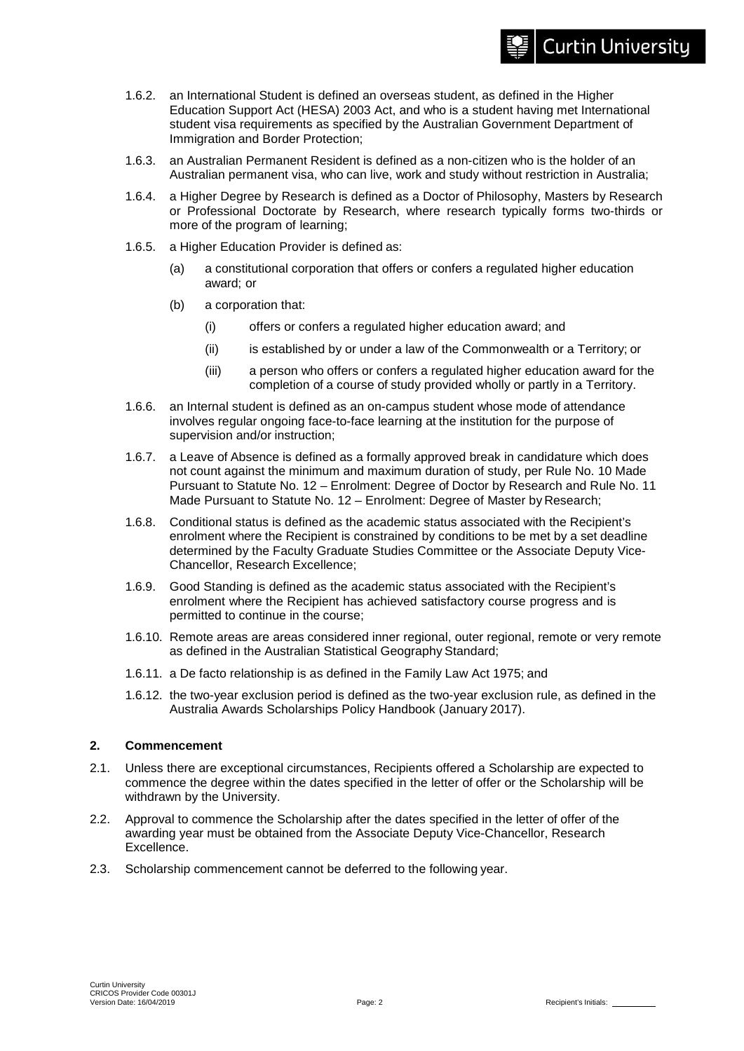# **Curtin University**

- 1.6.2. an International Student is defined an overseas student, as defined in the Higher Education Support Act (HESA) 2003 Act, and who is a student having met International student visa requirements as specified by the Australian Government Department of Immigration and Border Protection;
- 1.6.3. an Australian Permanent Resident is defined as a non-citizen who is the holder of an Australian permanent visa, who can live, work and study without restriction in Australia;
- 1.6.4. a Higher Degree by Research is defined as a Doctor of Philosophy, Masters by Research or Professional Doctorate by Research, where research typically forms two-thirds or more of the program of learning;
- 1.6.5. a Higher Education Provider is defined as:
	- (a) a constitutional corporation that offers or confers a regulated higher education award; or
	- (b) a corporation that:
		- (i) offers or confers a regulated higher education award; and
		- (ii) is established by or under a law of the Commonwealth or a Territory; or
		- (iii) a person who offers or confers a regulated higher education award for the completion of a course of study provided wholly or partly in a Territory.
- 1.6.6. an Internal student is defined as an on-campus student whose mode of attendance involves regular ongoing face-to-face learning at the institution for the purpose of supervision and/or instruction;
- 1.6.7. a Leave of Absence is defined as a formally approved break in candidature which does not count against the minimum and maximum duration of study, per Rule No. 10 Made Pursuant to Statute No. 12 – Enrolment: Degree of Doctor by Research and Rule No. 11 Made Pursuant to Statute No. 12 – Enrolment: Degree of Master by Research;
- 1.6.8. Conditional status is defined as the academic status associated with the Recipient's enrolment where the Recipient is constrained by conditions to be met by a set deadline determined by the Faculty Graduate Studies Committee or the Associate Deputy Vice-Chancellor, Research Excellence;
- 1.6.9. Good Standing is defined as the academic status associated with the Recipient's enrolment where the Recipient has achieved satisfactory course progress and is permitted to continue in the course;
- 1.6.10. Remote areas are areas considered inner regional, outer regional, remote or very remote as defined in the Australian Statistical Geography Standard;
- 1.6.11. a De facto relationship is as defined in the Family Law Act 1975; and
- 1.6.12. the two-year exclusion period is defined as the two-year exclusion rule, as defined in the Australia Awards Scholarships Policy Handbook (January 2017).

#### **2. Commencement**

- 2.1. Unless there are exceptional circumstances, Recipients offered a Scholarship are expected to commence the degree within the dates specified in the letter of offer or the Scholarship will be withdrawn by the University.
- 2.2. Approval to commence the Scholarship after the dates specified in the letter of offer of the awarding year must be obtained from the Associate Deputy Vice-Chancellor, Research Excellence.
- 2.3. Scholarship commencement cannot be deferred to the following year.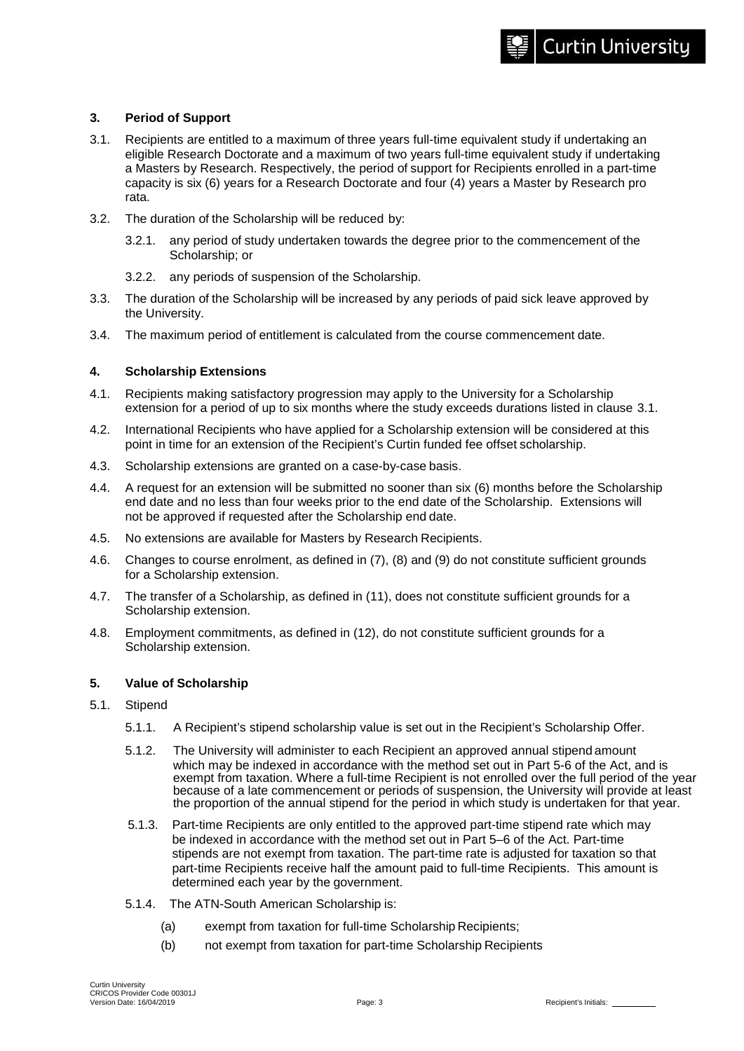- 3.1. Recipients are entitled to a maximum of three years full-time equivalent study if undertaking an eligible Research Doctorate and a maximum of two years full-time equivalent study if undertaking a Masters by Research. Respectively, the period of support for Recipients enrolled in a part-time capacity is six (6) years for a Research Doctorate and four (4) years a Master by Research pro rata.
- 3.2. The duration of the Scholarship will be reduced by:
	- 3.2.1. any period of study undertaken towards the degree prior to the commencement of the Scholarship; or
	- 3.2.2. any periods of suspension of the Scholarship.
- 3.3. The duration of the Scholarship will be increased by any periods of paid sick leave approved by the University.
- 3.4. The maximum period of entitlement is calculated from the course commencement date.

#### **4. Scholarship Extensions**

- 4.1. Recipients making satisfactory progression may apply to the University for a Scholarship extension for a period of up to six months where the study exceeds durations listed in clause 3.1.
- 4.2. International Recipients who have applied for a Scholarship extension will be considered at this point in time for an extension of the Recipient's Curtin funded fee offset scholarship.
- 4.3. Scholarship extensions are granted on a case-by-case basis.
- 4.4. A request for an extension will be submitted no sooner than six (6) months before the Scholarship end date and no less than four weeks prior to the end date of the Scholarship. Extensions will not be approved if requested after the Scholarship end date.
- 4.5. No extensions are available for Masters by Research Recipients.
- 4.6. Changes to course enrolment, as defined in (7), (8) and (9) do not constitute sufficient grounds for a Scholarship extension.
- 4.7. The transfer of a Scholarship, as defined in (11), does not constitute sufficient grounds for a Scholarship extension.
- 4.8. Employment commitments, as defined in (12), do not constitute sufficient grounds for a Scholarship extension.

# **5. Value of Scholarship**

- 5.1. Stipend
	- 5.1.1. A Recipient's stipend scholarship value is set out in the Recipient's Scholarship Offer.
	- 5.1.2. The University will administer to each Recipient an approved annual stipend amount which may be indexed in accordance with the method set out in Part 5-6 of the Act, and is exempt from taxation. Where a full-time Recipient is not enrolled over the full period of the year because of a late commencement or periods of suspension, the University will provide at least the proportion of the annual stipend for the period in which study is undertaken for that year.
	- 5.1.3. Part-time Recipients are only entitled to the approved part-time stipend rate which may be indexed in accordance with the method set out in Part 5–6 of the Act. Part-time stipends are not exempt from taxation. The part-time rate is adjusted for taxation so that part-time Recipients receive half the amount paid to full-time Recipients. This amount is determined each year by the government.
	- 5.1.4. The ATN-South American Scholarship is:
		- (a) exempt from taxation for full-time Scholarship Recipients;
		- (b) not exempt from taxation for part-time Scholarship Recipients

**Curtin University**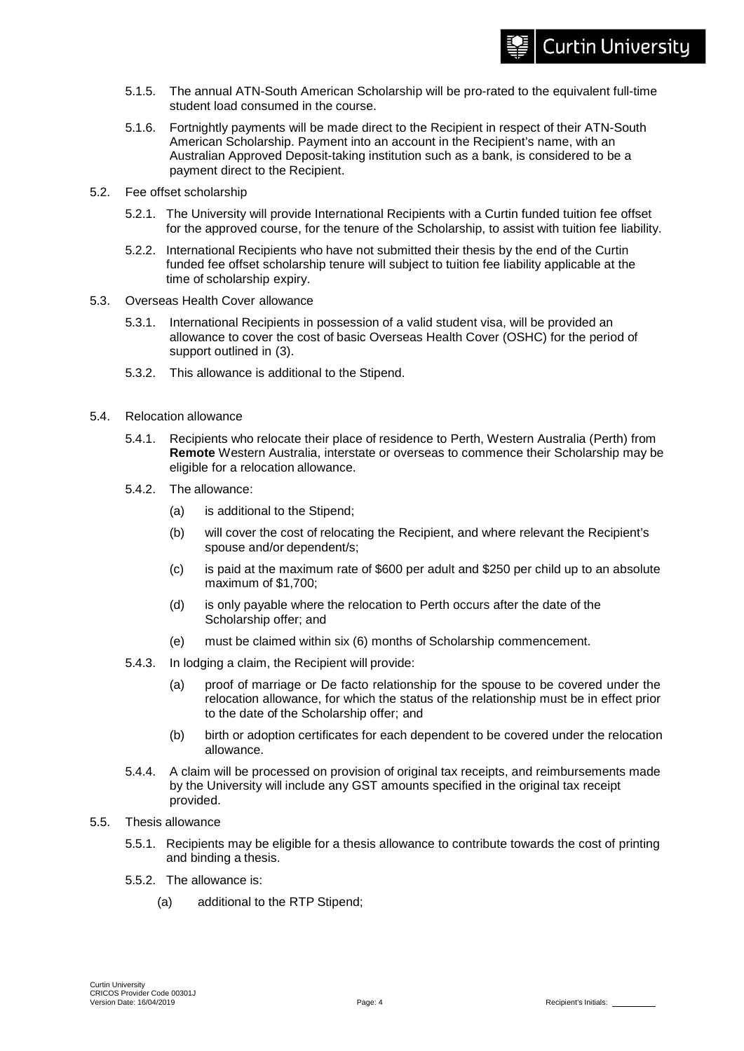- 5.1.5. The annual ATN-South American Scholarship will be pro-rated to the equivalent full-time student load consumed in the course.
- 5.1.6. Fortnightly payments will be made direct to the Recipient in respect of their ATN-South American Scholarship. Payment into an account in the Recipient's name, with an Australian Approved Deposit-taking institution such as a bank, is considered to be a payment direct to the Recipient.
- 5.2. Fee offset scholarship
	- 5.2.1. The University will provide International Recipients with a Curtin funded tuition fee offset for the approved course, for the tenure of the Scholarship, to assist with tuition fee liability.
	- 5.2.2. International Recipients who have not submitted their thesis by the end of the Curtin funded fee offset scholarship tenure will subject to tuition fee liability applicable at the time of scholarship expiry.
- 5.3. Overseas Health Cover allowance
	- 5.3.1. International Recipients in possession of a valid student visa, will be provided an allowance to cover the cost of basic Overseas Health Cover (OSHC) for the period of support outlined in (3).
	- 5.3.2. This allowance is additional to the Stipend.
- 5.4. Relocation allowance
	- 5.4.1. Recipients who relocate their place of residence to Perth, Western Australia (Perth) from **Remote** Western Australia, interstate or overseas to commence their Scholarship may be eligible for a relocation allowance.
	- 5.4.2. The allowance:
		- (a) is additional to the Stipend;
		- (b) will cover the cost of relocating the Recipient, and where relevant the Recipient's spouse and/or dependent/s;
		- (c) is paid at the maximum rate of \$600 per adult and \$250 per child up to an absolute maximum of \$1,700;
		- (d) is only payable where the relocation to Perth occurs after the date of the Scholarship offer; and
		- (e) must be claimed within six (6) months of Scholarship commencement.
	- 5.4.3. In lodging a claim, the Recipient will provide:
		- (a) proof of marriage or De facto relationship for the spouse to be covered under the relocation allowance, for which the status of the relationship must be in effect prior to the date of the Scholarship offer; and
		- (b) birth or adoption certificates for each dependent to be covered under the relocation allowance.
	- 5.4.4. A claim will be processed on provision of original tax receipts, and reimbursements made by the University will include any GST amounts specified in the original tax receipt provided.
- 5.5. Thesis allowance
	- 5.5.1. Recipients may be eligible for a thesis allowance to contribute towards the cost of printing and binding a thesis.
	- 5.5.2. The allowance is:
		- (a) additional to the RTP Stipend;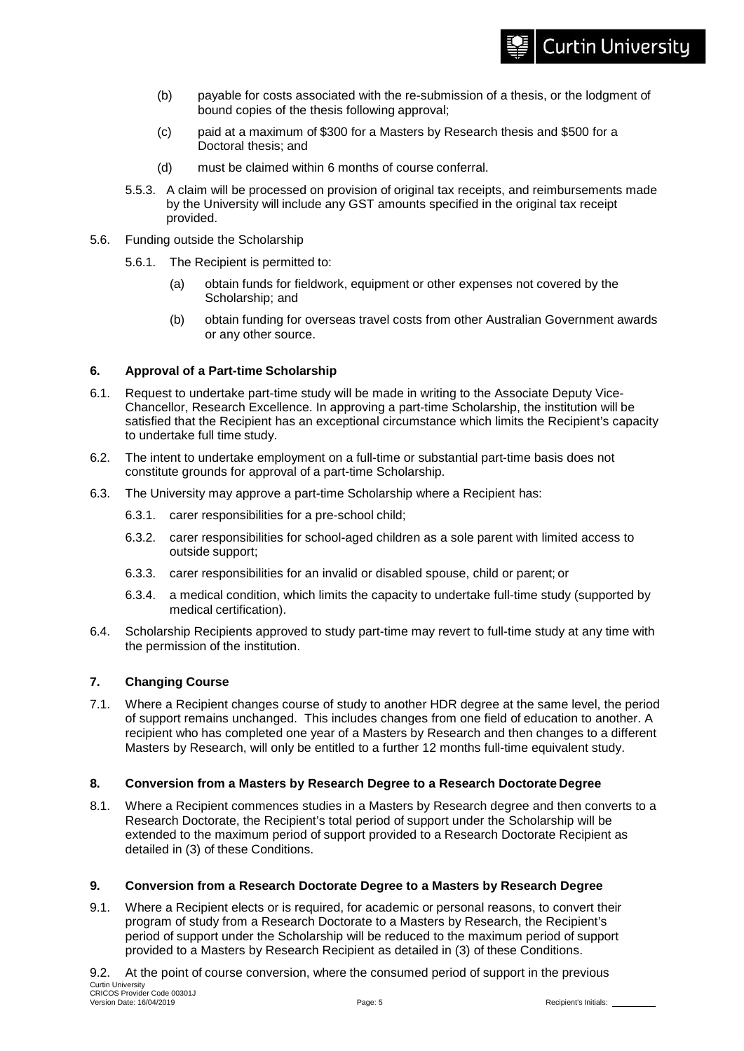- (b) payable for costs associated with the re-submission of a thesis, or the lodgment of bound copies of the thesis following approval;
- (c) paid at a maximum of \$300 for a Masters by Research thesis and \$500 for a Doctoral thesis; and
- (d) must be claimed within 6 months of course conferral.
- 5.5.3. A claim will be processed on provision of original tax receipts, and reimbursements made by the University will include any GST amounts specified in the original tax receipt provided.
- 5.6. Funding outside the Scholarship
	- 5.6.1. The Recipient is permitted to:
		- (a) obtain funds for fieldwork, equipment or other expenses not covered by the Scholarship; and
		- (b) obtain funding for overseas travel costs from other Australian Government awards or any other source.

#### **6. Approval of a Part-time Scholarship**

- 6.1. Request to undertake part-time study will be made in writing to the Associate Deputy Vice-Chancellor, Research Excellence. In approving a part-time Scholarship, the institution will be satisfied that the Recipient has an exceptional circumstance which limits the Recipient's capacity to undertake full time study.
- 6.2. The intent to undertake employment on a full-time or substantial part-time basis does not constitute grounds for approval of a part-time Scholarship.
- 6.3. The University may approve a part-time Scholarship where a Recipient has:
	- 6.3.1. carer responsibilities for a pre-school child;
	- 6.3.2. carer responsibilities for school-aged children as a sole parent with limited access to outside support;
	- 6.3.3. carer responsibilities for an invalid or disabled spouse, child or parent; or
	- 6.3.4. a medical condition, which limits the capacity to undertake full-time study (supported by medical certification).
- 6.4. Scholarship Recipients approved to study part-time may revert to full-time study at any time with the permission of the institution.

# **7. Changing Course**

7.1. Where a Recipient changes course of study to another HDR degree at the same level, the period of support remains unchanged. This includes changes from one field of education to another. A recipient who has completed one year of a Masters by Research and then changes to a different Masters by Research, will only be entitled to a further 12 months full-time equivalent study.

# **8. Conversion from a Masters by Research Degree to a Research Doctorate Degree**

8.1. Where a Recipient commences studies in a Masters by Research degree and then converts to a Research Doctorate, the Recipient's total period of support under the Scholarship will be extended to the maximum period of support provided to a Research Doctorate Recipient as detailed in (3) of these Conditions.

# **9. Conversion from a Research Doctorate Degree to a Masters by Research Degree**

- 9.1. Where a Recipient elects or is required, for academic or personal reasons, to convert their program of study from a Research Doctorate to a Masters by Research, the Recipient's period of support under the Scholarship will be reduced to the maximum period of support provided to a Masters by Research Recipient as detailed in (3) of these Conditions.
- Curtin University CRICOS Provider Code 00301J Version Date: 16/04/2019 Page: 5 Recipient's Initials: 9.2. At the point of course conversion, where the consumed period of support in the previous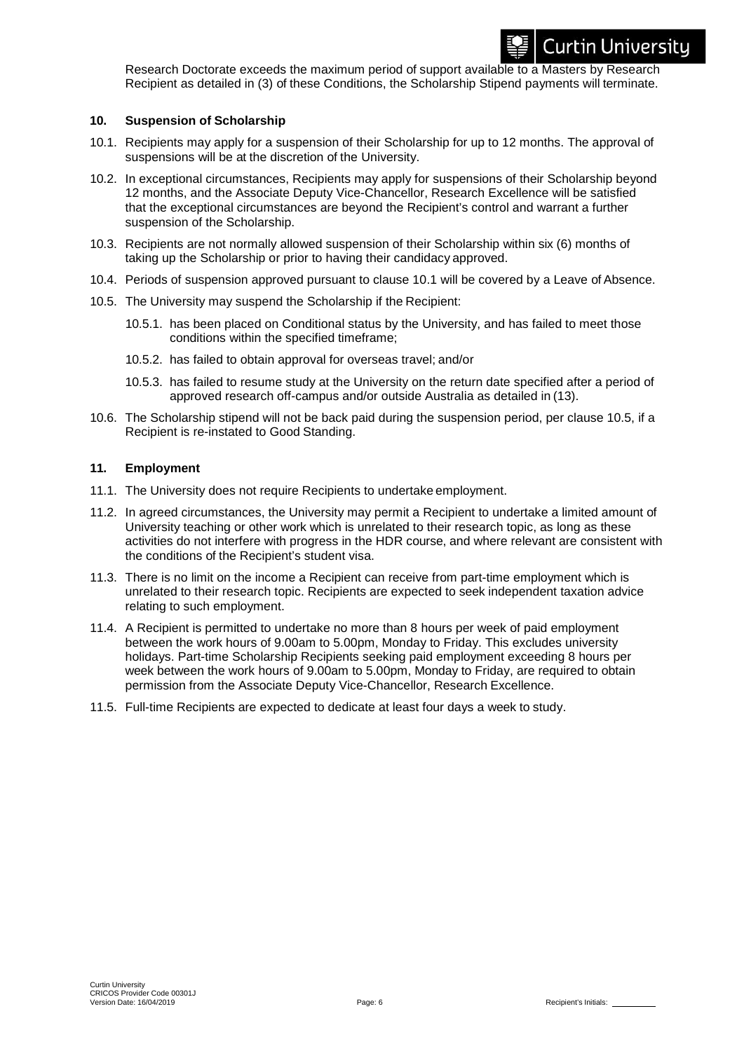Research Doctorate exceeds the maximum period of support available to a Masters by Research Recipient as detailed in (3) of these Conditions, the Scholarship Stipend payments will terminate.

#### **10. Suspension of Scholarship**

- 10.1. Recipients may apply for a suspension of their Scholarship for up to 12 months. The approval of suspensions will be at the discretion of the University.
- 10.2. In exceptional circumstances, Recipients may apply for suspensions of their Scholarship beyond 12 months, and the Associate Deputy Vice-Chancellor, Research Excellence will be satisfied that the exceptional circumstances are beyond the Recipient's control and warrant a further suspension of the Scholarship.
- 10.3. Recipients are not normally allowed suspension of their Scholarship within six (6) months of taking up the Scholarship or prior to having their candidacy approved.
- 10.4. Periods of suspension approved pursuant to clause 10.1 will be covered by a Leave of Absence.
- 10.5. The University may suspend the Scholarship if the Recipient:
	- 10.5.1. has been placed on Conditional status by the University, and has failed to meet those conditions within the specified timeframe;
	- 10.5.2. has failed to obtain approval for overseas travel; and/or
	- 10.5.3. has failed to resume study at the University on the return date specified after a period of approved research off-campus and/or outside Australia as detailed in (13).
- 10.6. The Scholarship stipend will not be back paid during the suspension period, per clause 10.5, if a Recipient is re-instated to Good Standing.

# **11. Employment**

- 11.1. The University does not require Recipients to undertake employment.
- 11.2. In agreed circumstances, the University may permit a Recipient to undertake a limited amount of University teaching or other work which is unrelated to their research topic, as long as these activities do not interfere with progress in the HDR course, and where relevant are consistent with the conditions of the Recipient's student visa.
- 11.3. There is no limit on the income a Recipient can receive from part-time employment which is unrelated to their research topic. Recipients are expected to seek independent taxation advice relating to such employment.
- 11.4. A Recipient is permitted to undertake no more than 8 hours per week of paid employment between the work hours of 9.00am to 5.00pm, Monday to Friday. This excludes university holidays. Part-time Scholarship Recipients seeking paid employment exceeding 8 hours per week between the work hours of 9.00am to 5.00pm, Monday to Friday, are required to obtain permission from the Associate Deputy Vice-Chancellor, Research Excellence.
- 11.5. Full-time Recipients are expected to dedicate at least four days a week to study.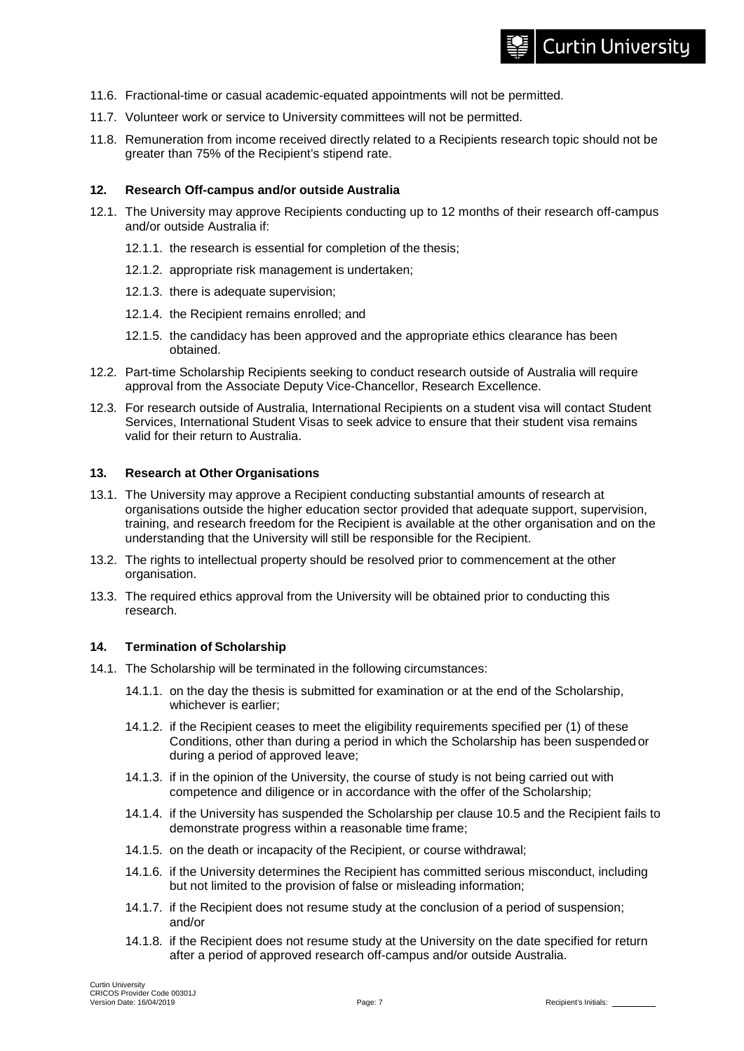# **Curtin University**

- 11.6. Fractional-time or casual academic-equated appointments will not be permitted.
- 11.7. Volunteer work or service to University committees will not be permitted.
- 11.8. Remuneration from income received directly related to a Recipients research topic should not be greater than 75% of the Recipient's stipend rate.

#### **12. Research Off-campus and/or outside Australia**

- 12.1. The University may approve Recipients conducting up to 12 months of their research off-campus and/or outside Australia if:
	- 12.1.1. the research is essential for completion of the thesis;
	- 12.1.2. appropriate risk management is undertaken;
	- 12.1.3. there is adequate supervision;
	- 12.1.4. the Recipient remains enrolled; and
	- 12.1.5. the candidacy has been approved and the appropriate ethics clearance has been obtained.
- 12.2. Part-time Scholarship Recipients seeking to conduct research outside of Australia will require approval from the Associate Deputy Vice-Chancellor, Research Excellence.
- 12.3. For research outside of Australia, International Recipients on a student visa will contact Student Services, International Student Visas to seek advice to ensure that their student visa remains valid for their return to Australia.

#### **13. Research at Other Organisations**

- 13.1. The University may approve a Recipient conducting substantial amounts of research at organisations outside the higher education sector provided that adequate support, supervision, training, and research freedom for the Recipient is available at the other organisation and on the understanding that the University will still be responsible for the Recipient.
- 13.2. The rights to intellectual property should be resolved prior to commencement at the other organisation.
- 13.3. The required ethics approval from the University will be obtained prior to conducting this research.

#### **14. Termination of Scholarship**

- 14.1. The Scholarship will be terminated in the following circumstances:
	- 14.1.1. on the day the thesis is submitted for examination or at the end of the Scholarship, whichever is earlier;
	- 14.1.2. if the Recipient ceases to meet the eligibility requirements specified per (1) of these Conditions, other than during a period in which the Scholarship has been suspendedor during a period of approved leave;
	- 14.1.3. if in the opinion of the University, the course of study is not being carried out with competence and diligence or in accordance with the offer of the Scholarship;
	- 14.1.4. if the University has suspended the Scholarship per clause 10.5 and the Recipient fails to demonstrate progress within a reasonable time frame;
	- 14.1.5. on the death or incapacity of the Recipient, or course withdrawal;
	- 14.1.6. if the University determines the Recipient has committed serious misconduct, including but not limited to the provision of false or misleading information;
	- 14.1.7. if the Recipient does not resume study at the conclusion of a period of suspension; and/or
	- 14.1.8. if the Recipient does not resume study at the University on the date specified for return after a period of approved research off-campus and/or outside Australia.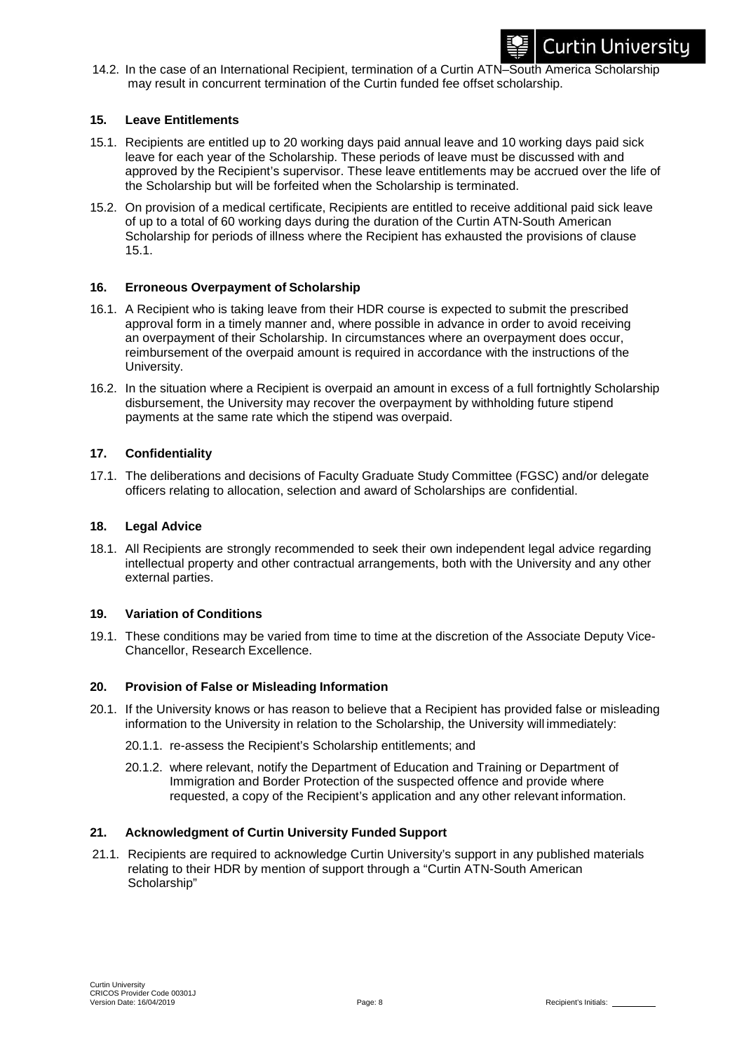

14.2. In the case of an International Recipient, termination of a Curtin ATN–South America Scholarship may result in concurrent termination of the Curtin funded fee offset scholarship.

#### **15. Leave Entitlements**

- 15.1. Recipients are entitled up to 20 working days paid annual leave and 10 working days paid sick leave for each year of the Scholarship. These periods of leave must be discussed with and approved by the Recipient's supervisor. These leave entitlements may be accrued over the life of the Scholarship but will be forfeited when the Scholarship is terminated.
- 15.2. On provision of a medical certificate, Recipients are entitled to receive additional paid sick leave of up to a total of 60 working days during the duration of the Curtin ATN-South American Scholarship for periods of illness where the Recipient has exhausted the provisions of clause 15.1.

#### **16. Erroneous Overpayment of Scholarship**

- 16.1. A Recipient who is taking leave from their HDR course is expected to submit the prescribed approval form in a timely manner and, where possible in advance in order to avoid receiving an overpayment of their Scholarship. In circumstances where an overpayment does occur, reimbursement of the overpaid amount is required in accordance with the instructions of the University.
- 16.2. In the situation where a Recipient is overpaid an amount in excess of a full fortnightly Scholarship disbursement, the University may recover the overpayment by withholding future stipend payments at the same rate which the stipend was overpaid.

#### **17. Confidentiality**

17.1. The deliberations and decisions of Faculty Graduate Study Committee (FGSC) and/or delegate officers relating to allocation, selection and award of Scholarships are confidential.

#### **18. Legal Advice**

18.1. All Recipients are strongly recommended to seek their own independent legal advice regarding intellectual property and other contractual arrangements, both with the University and any other external parties.

#### **19. Variation of Conditions**

19.1. These conditions may be varied from time to time at the discretion of the Associate Deputy Vice-Chancellor, Research Excellence.

# **20. Provision of False or Misleading Information**

- 20.1. If the University knows or has reason to believe that a Recipient has provided false or misleading information to the University in relation to the Scholarship, the University will immediately:
	- 20.1.1. re-assess the Recipient's Scholarship entitlements; and
	- 20.1.2. where relevant, notify the Department of Education and Training or Department of Immigration and Border Protection of the suspected offence and provide where requested, a copy of the Recipient's application and any other relevant information.

#### **21. Acknowledgment of Curtin University Funded Support**

21.1. Recipients are required to acknowledge Curtin University's support in any published materials relating to their HDR by mention of support through a "Curtin ATN-South American Scholarship"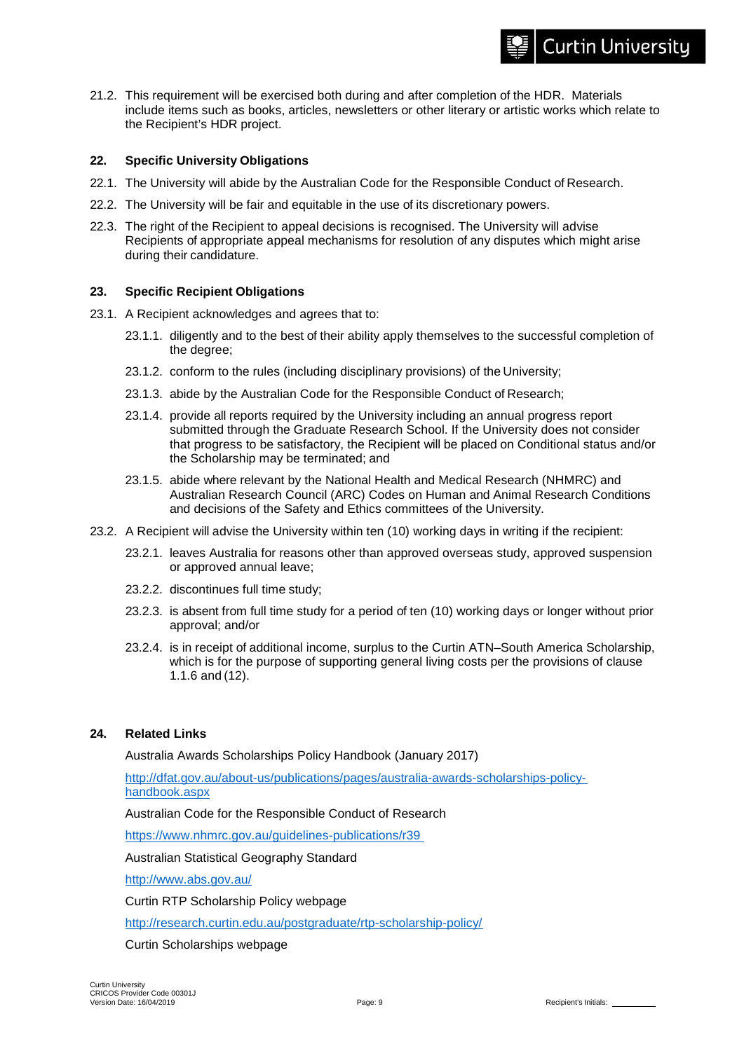#### 21.2. This requirement will be exercised both during and after completion of the HDR. Materials include items such as books, articles, newsletters or other literary or artistic works which relate to the Recipient's HDR project.

# **22. Specific University Obligations**

- 22.1. The University will abide by the Australian Code for the Responsible Conduct of Research.
- 22.2. The University will be fair and equitable in the use of its discretionary powers.
- 22.3. The right of the Recipient to appeal decisions is recognised. The University will advise Recipients of appropriate appeal mechanisms for resolution of any disputes which might arise during their candidature.

#### **23. Specific Recipient Obligations**

- 23.1. A Recipient acknowledges and agrees that to:
	- 23.1.1. diligently and to the best of their ability apply themselves to the successful completion of the degree;
	- 23.1.2. conform to the rules (including disciplinary provisions) of the University;
	- 23.1.3. abide by the Australian Code for the Responsible Conduct of Research;
	- 23.1.4. provide all reports required by the University including an annual progress report submitted through the Graduate Research School. If the University does not consider that progress to be satisfactory, the Recipient will be placed on Conditional status and/or the Scholarship may be terminated; and
	- 23.1.5. abide where relevant by the National Health and Medical Research (NHMRC) and Australian Research Council (ARC) Codes on Human and Animal Research Conditions and decisions of the Safety and Ethics committees of the University.
- 23.2. A Recipient will advise the University within ten (10) working days in writing if the recipient:
	- 23.2.1. leaves Australia for reasons other than approved overseas study, approved suspension or approved annual leave;
	- 23.2.2. discontinues full time study;
	- 23.2.3. is absent from full time study for a period of ten (10) working days or longer without prior approval; and/or
	- 23.2.4. is in receipt of additional income, surplus to the Curtin ATN–South America Scholarship, which is for the purpose of supporting general living costs per the provisions of clause 1.1.6 and (12).

### **24. Related Links**

Australia Awards Scholarships Policy Handbook (January 2017)

[http://dfat.gov.au/about-us/publications/pages/australia-awards-scholarships-policy](http://dfat.gov.au/about-us/publications/pages/australia-awards-scholarships-policy-handbook.aspx)[handbook.aspx](http://dfat.gov.au/about-us/publications/pages/australia-awards-scholarships-policy-handbook.aspx)

Australian Code for the Responsible Conduct of Research

<https://www.nhmrc.gov.au/guidelines-publications/r39>

Australian Statistical Geography Standard

<http://www.abs.gov.au/>

Curtin RTP Scholarship Policy webpage

<http://research.curtin.edu.au/postgraduate/rtp-scholarship-policy/>

Curtin Scholarships webpage

**Curtin University**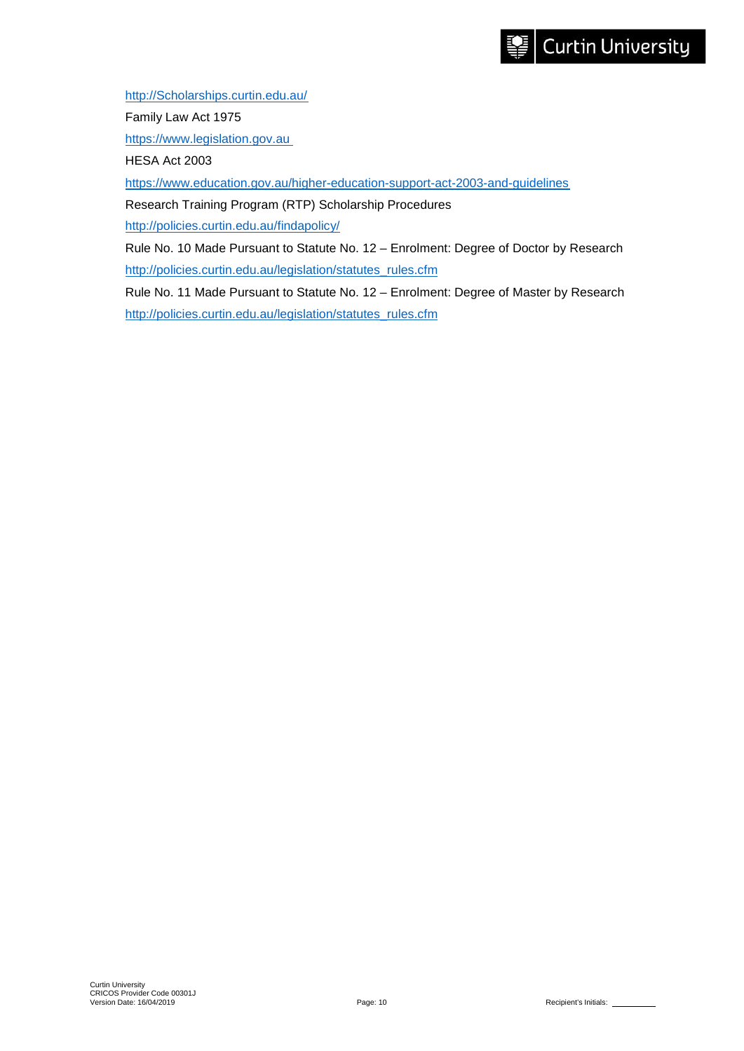[http://Scholarships.curtin.edu.au/](http://scholarships.curtin.edu.au/)

Family Law Act 1975

[https://www.legislation.gov.au](https://www.legislation.gov.au/)

HESA Act 2003

<https://www.education.gov.au/higher-education-support-act-2003-and-guidelines>

Research Training Program (RTP) Scholarship Procedures

<http://policies.curtin.edu.au/findapolicy/>

Rule No. 10 Made Pursuant to Statute No. 12 – Enrolment: Degree of Doctor by Research [http://policies.curtin.edu.au/legislation/statutes\\_rules.cfm](http://policies.curtin.edu.au/legislation/statutes_rules.cfm)

Rule No. 11 Made Pursuant to Statute No. 12 – Enrolment: Degree of Master by Research [http://policies.curtin.edu.au/legislation/statutes\\_rules.cfm](http://policies.curtin.edu.au/legislation/statutes_rules.cfm)